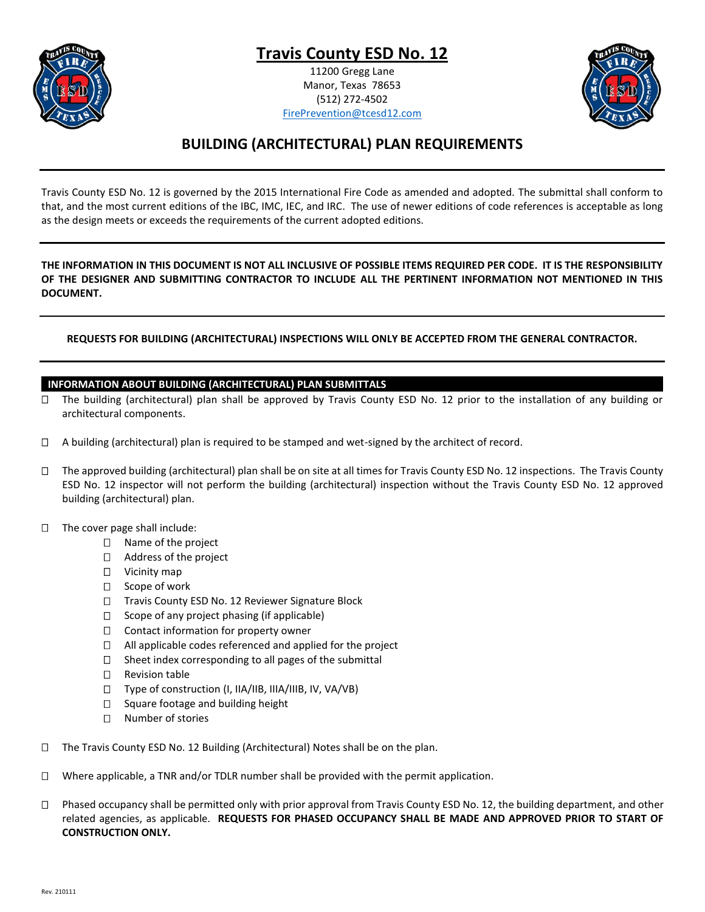**Travis County ESD No. 12**

11200 Gregg Lane Manor, Texas 78653 (512) 272-4502 [FirePrevention@tcesd12.com](mailto:FirePrevention@tcesd12.com)



# **BUILDING (ARCHITECTURAL) PLAN REQUIREMENTS**

Travis County ESD No. 12 is governed by the 2015 International Fire Code as amended and adopted. The submittal shall conform to that, and the most current editions of the IBC, IMC, IEC, and IRC. The use of newer editions of code references is acceptable as long as the design meets or exceeds the requirements of the current adopted editions.

**THE INFORMATION IN THIS DOCUMENT IS NOT ALL INCLUSIVE OF POSSIBLE ITEMS REQUIRED PER CODE. IT IS THE RESPONSIBILITY OF THE DESIGNER AND SUBMITTING CONTRACTOR TO INCLUDE ALL THE PERTINENT INFORMATION NOT MENTIONED IN THIS DOCUMENT.**

# **REQUESTS FOR BUILDING (ARCHITECTURAL) INSPECTIONS WILL ONLY BE ACCEPTED FROM THE GENERAL CONTRACTOR.**

# **INFORMATION ABOUT BUILDING (ARCHITECTURAL) PLAN SUBMITTALS**

- □ The building (architectural) plan shall be approved by Travis County ESD No. 12 prior to the installation of any building or architectural components.
- $\Box$  A building (architectural) plan is required to be stamped and wet-signed by the architect of record.
- $\Box$  The approved building (architectural) plan shall be on site at all times for Travis County ESD No. 12 inspections. The Travis County ESD No. 12 inspector will not perform the building (architectural) inspection without the Travis County ESD No. 12 approved building (architectural) plan.
- $\Box$  The cover page shall include:
	- □ Name of the project
	- □ Address of the project
	- □ Vicinity map
	- $\Box$  Scope of work
	- □ Travis County ESD No. 12 Reviewer Signature Block
	- $\Box$  Scope of any project phasing (if applicable)
	- $\Box$  Contact information for property owner
	- $\Box$  All applicable codes referenced and applied for the project
	- $\square$  Sheet index corresponding to all pages of the submittal
	- □ Revision table
	- $\square$  Type of construction (I, IIA/IIB, IIIA/IIIB, IV, VA/VB)
	- $\Box$  Square footage and building height
	- □ Number of stories
- □ The Travis County ESD No. 12 Building (Architectural) Notes shall be on the plan.
- $\Box$  Where applicable, a TNR and/or TDLR number shall be provided with the permit application.
- $\Box$  Phased occupancy shall be permitted only with prior approval from Travis County ESD No. 12, the building department, and other related agencies, as applicable. **REQUESTS FOR PHASED OCCUPANCY SHALL BE MADE AND APPROVED PRIOR TO START OF CONSTRUCTION ONLY.**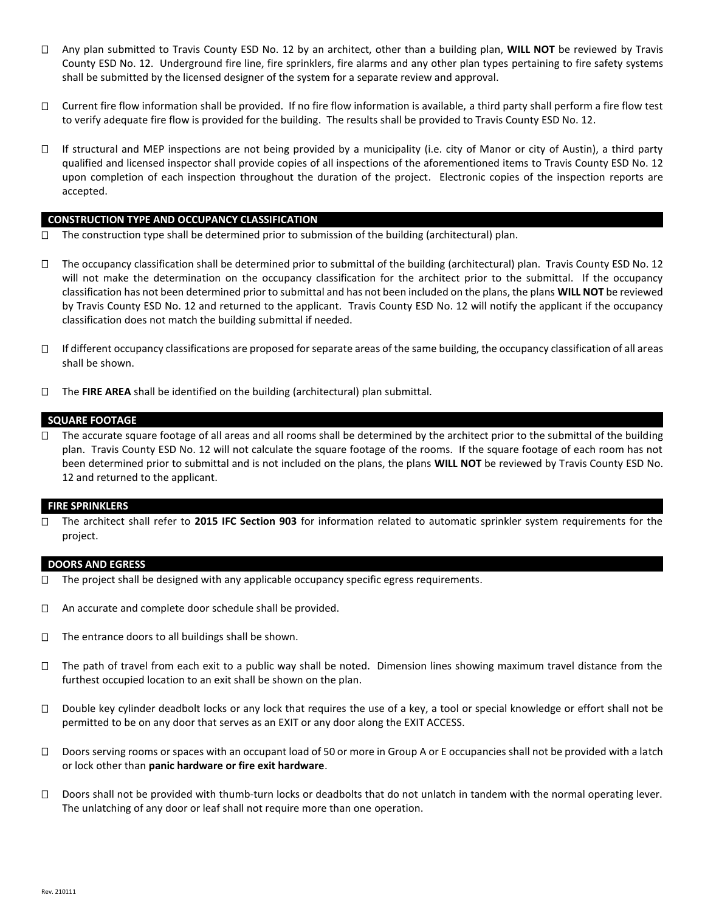- Any plan submitted to Travis County ESD No. 12 by an architect, other than a building plan, **WILL NOT** be reviewed by Travis County ESD No. 12. Underground fire line, fire sprinklers, fire alarms and any other plan types pertaining to fire safety systems shall be submitted by the licensed designer of the system for a separate review and approval.
- $\Box$  Current fire flow information shall be provided. If no fire flow information is available, a third party shall perform a fire flow test to verify adequate fire flow is provided for the building. The results shall be provided to Travis County ESD No. 12.
- $\Box$  If structural and MEP inspections are not being provided by a municipality (i.e. city of Manor or city of Austin), a third party qualified and licensed inspector shall provide copies of all inspections of the aforementioned items to Travis County ESD No. 12 upon completion of each inspection throughout the duration of the project. Electronic copies of the inspection reports are accepted.

### **CONSTRUCTION TYPE AND OCCUPANCY CLASSIFICATION**

- $\Box$  The construction type shall be determined prior to submission of the building (architectural) plan.
- $\Box$  The occupancy classification shall be determined prior to submittal of the building (architectural) plan. Travis County ESD No. 12 will not make the determination on the occupancy classification for the architect prior to the submittal. If the occupancy classification has not been determined prior to submittal and has not been included on the plans, the plans **WILL NOT** be reviewed by Travis County ESD No. 12 and returned to the applicant. Travis County ESD No. 12 will notify the applicant if the occupancy classification does not match the building submittal if needed.
- $\Box$  If different occupancy classifications are proposed for separate areas of the same building, the occupancy classification of all areas shall be shown.
- The **FIRE AREA** shall be identified on the building (architectural) plan submittal.

#### **SQUARE FOOTAGE**

 $\Box$  The accurate square footage of all areas and all rooms shall be determined by the architect prior to the submittal of the building plan. Travis County ESD No. 12 will not calculate the square footage of the rooms. If the square footage of each room has not been determined prior to submittal and is not included on the plans, the plans **WILL NOT** be reviewed by Travis County ESD No. 12 and returned to the applicant.

#### **FIRE SPRINKLERS**

 The architect shall refer to **2015 IFC Section 903** for information related to automatic sprinkler system requirements for the project.

#### **DOORS AND EGRESS**

- $\Box$  The project shall be designed with any applicable occupancy specific egress requirements.
- □ An accurate and complete door schedule shall be provided.
- $\Box$  The entrance doors to all buildings shall be shown.
- $\Box$  The path of travel from each exit to a public way shall be noted. Dimension lines showing maximum travel distance from the furthest occupied location to an exit shall be shown on the plan.
- □ Double key cylinder deadbolt locks or any lock that requires the use of a key, a tool or special knowledge or effort shall not be permitted to be on any door that serves as an EXIT or any door along the EXIT ACCESS.
- $\square$  Doors serving rooms or spaces with an occupant load of 50 or more in Group A or E occupancies shall not be provided with a latch or lock other than **panic hardware or fire exit hardware**.
- $\Box$  Doors shall not be provided with thumb-turn locks or deadbolts that do not unlatch in tandem with the normal operating lever. The unlatching of any door or leaf shall not require more than one operation.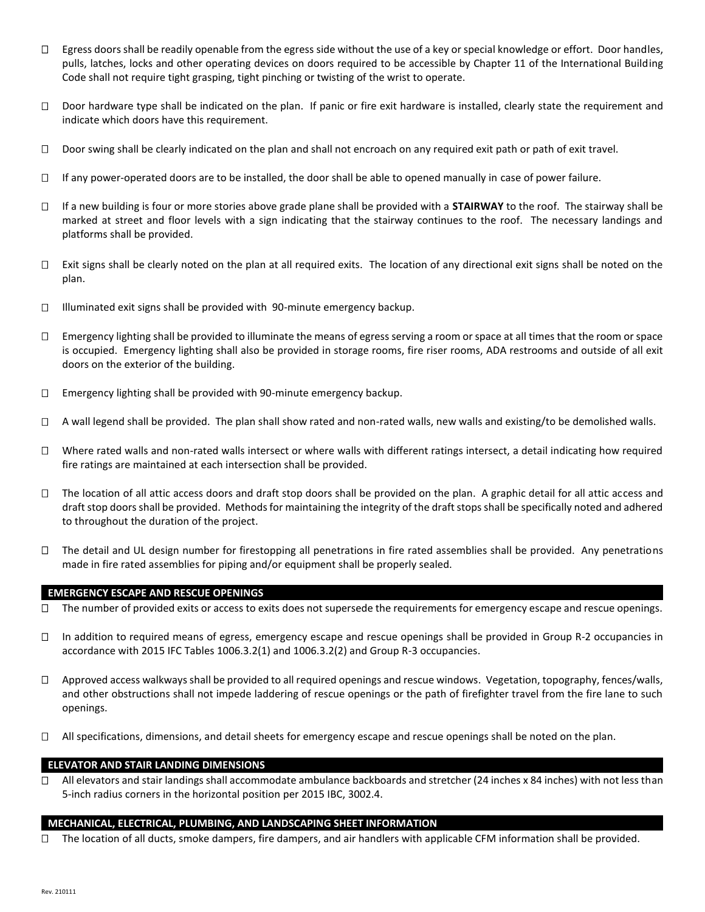- $\Box$  Egress doors shall be readily openable from the egress side without the use of a key or special knowledge or effort. Door handles, pulls, latches, locks and other operating devices on doors required to be accessible by Chapter 11 of the International Building Code shall not require tight grasping, tight pinching or twisting of the wrist to operate.
- $\Box$  Door hardware type shall be indicated on the plan. If panic or fire exit hardware is installed, clearly state the requirement and indicate which doors have this requirement.
- $\Box$  Door swing shall be clearly indicated on the plan and shall not encroach on any required exit path or path of exit travel.
- $\Box$  If any power-operated doors are to be installed, the door shall be able to opened manually in case of power failure.
- If a new building is four or more stories above grade plane shall be provided with a **STAIRWAY** to the roof. The stairway shall be marked at street and floor levels with a sign indicating that the stairway continues to the roof. The necessary landings and platforms shall be provided.
- $\Box$  Exit signs shall be clearly noted on the plan at all required exits. The location of any directional exit signs shall be noted on the plan.
- $\Box$  Illuminated exit signs shall be provided with 90-minute emergency backup.
- $\Box$  Emergency lighting shall be provided to illuminate the means of egress serving a room or space at all times that the room or space is occupied. Emergency lighting shall also be provided in storage rooms, fire riser rooms, ADA restrooms and outside of all exit doors on the exterior of the building.
- $\Box$  Emergency lighting shall be provided with 90-minute emergency backup.
- $\Box$  A wall legend shall be provided. The plan shall show rated and non-rated walls, new walls and existing/to be demolished walls.
- $\Box$  Where rated walls and non-rated walls intersect or where walls with different ratings intersect, a detail indicating how required fire ratings are maintained at each intersection shall be provided.
- $\Box$  The location of all attic access doors and draft stop doors shall be provided on the plan. A graphic detail for all attic access and draft stop doors shall be provided. Methods for maintaining the integrity of the draft stops shall be specifically noted and adhered to throughout the duration of the project.
- $\Box$  The detail and UL design number for firestopping all penetrations in fire rated assemblies shall be provided. Any penetrations made in fire rated assemblies for piping and/or equipment shall be properly sealed.

# **EMERGENCY ESCAPE AND RESCUE OPENINGS**

- $\Box$  The number of provided exits or access to exits does not supersede the requirements for emergency escape and rescue openings.
- In addition to required means of egress, emergency escape and rescue openings shall be provided in Group R-2 occupancies in accordance with 2015 IFC Tables 1006.3.2(1) and 1006.3.2(2) and Group R-3 occupancies.
- $\Box$  Approved access walkways shall be provided to all required openings and rescue windows. Vegetation, topography, fences/walls, and other obstructions shall not impede laddering of rescue openings or the path of firefighter travel from the fire lane to such openings.
- $\Box$  All specifications, dimensions, and detail sheets for emergency escape and rescue openings shall be noted on the plan.

# **ELEVATOR AND STAIR LANDING DIMENSIONS**

 $\Box$  All elevators and stair landings shall accommodate ambulance backboards and stretcher (24 inches x 84 inches) with not less than 5-inch radius corners in the horizontal position per 2015 IBC, 3002.4.

# **MECHANICAL, ELECTRICAL, PLUMBING, AND LANDSCAPING SHEET INFORMATION**

 $\Box$  The location of all ducts, smoke dampers, fire dampers, and air handlers with applicable CFM information shall be provided.